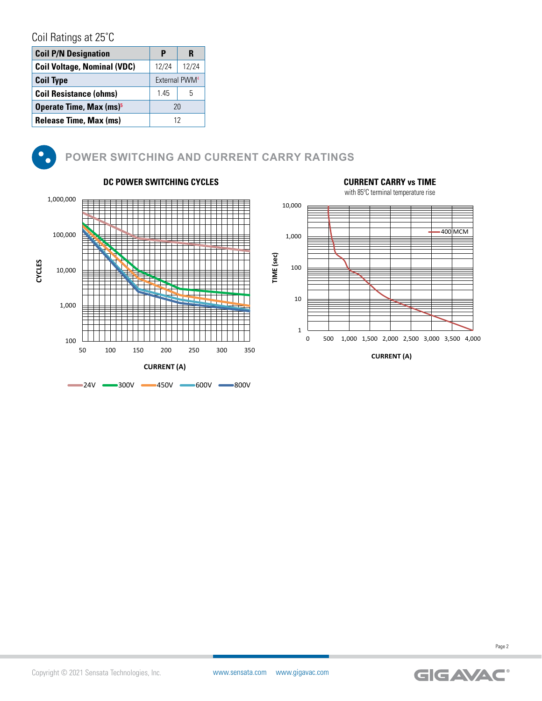# Coil Ratings at 25˚C

| <b>Coil P/N Designation</b>         | P                         | R     |
|-------------------------------------|---------------------------|-------|
| <b>Coil Voltage, Nominal (VDC)</b>  | 12/24                     | 12/24 |
| <b>Coil Type</b>                    | External PWM <sup>4</sup> |       |
| <b>Coil Resistance (ohms)</b>       | 145                       | 5     |
| Operate Time, Max (ms) <sup>5</sup> |                           | 20    |
| Release Time, Max (ms)              |                           | 12    |



# **POWER SWITCHING AND CURRENT CARRY RATINGS**





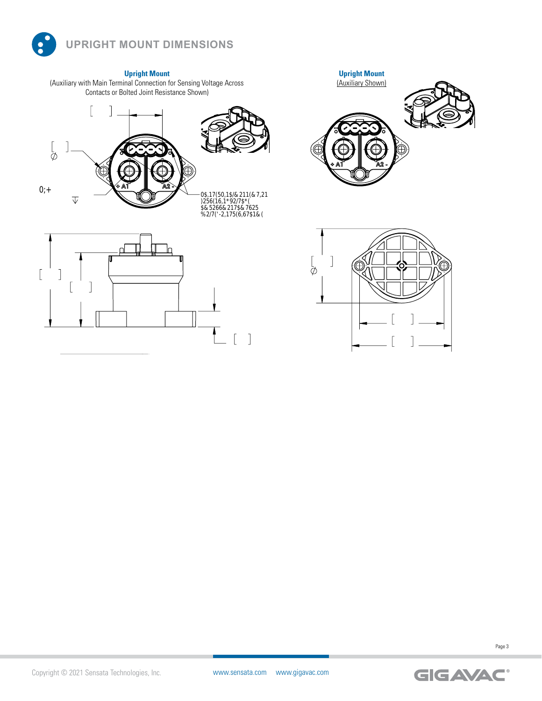

**Upright Mount** (Auxiliary with Main Terminal Connection for Sensing Voltage Across Contacts or Bolted Joint Resistance Shown)







 $\begin{bmatrix} 1 \end{bmatrix}$ 

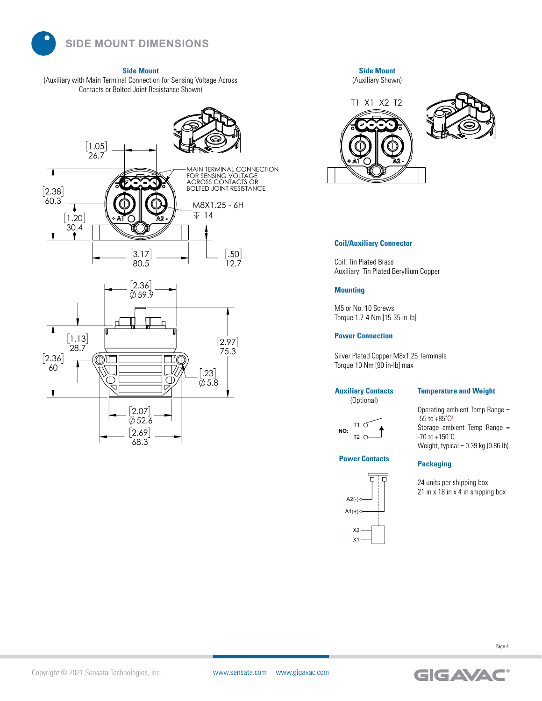

**Side Mount**

(Auxiliary with Main Terminal Connection for Sensing Voltage Across Contacts or Bolted Joint Resistance Shown)





**Side Mount** (Auxiliary Shown)



## **Coil/Auxiliary Connector**

Coil: Tin Plated Brass Auxiliary: Tin Plated Beryllium Copper

#### **Mounting**

M5 or No. 10 Screws nus or ivo. Tu screws<br>Torque 1.7-4 Nm [15-35 in-lb] 80.5

### **Power Connection**

Silver Plated Copper M8x1.25 Terminals Torque 10 Nm [90 in-Ib] max

### **Auxiliary Contacts**

(Optional)

# **Temperature and Weight**

T1 T2 **NO:**

# **Power Contacts**



Operating ambient Temp Range =  $-55$  to  $+85^{\circ}C^3$ Storage ambient Temp Range =<br>-<sup>70</sup> to :<sup>150°C</sup> -70 to +150˚C Weight, typical = 0.39 kg (0.86 lb) 75.3

## **Packaging**

24 units per shipping box 24 units per shipping box<br>21 in x 18 in x 4 in shipping box